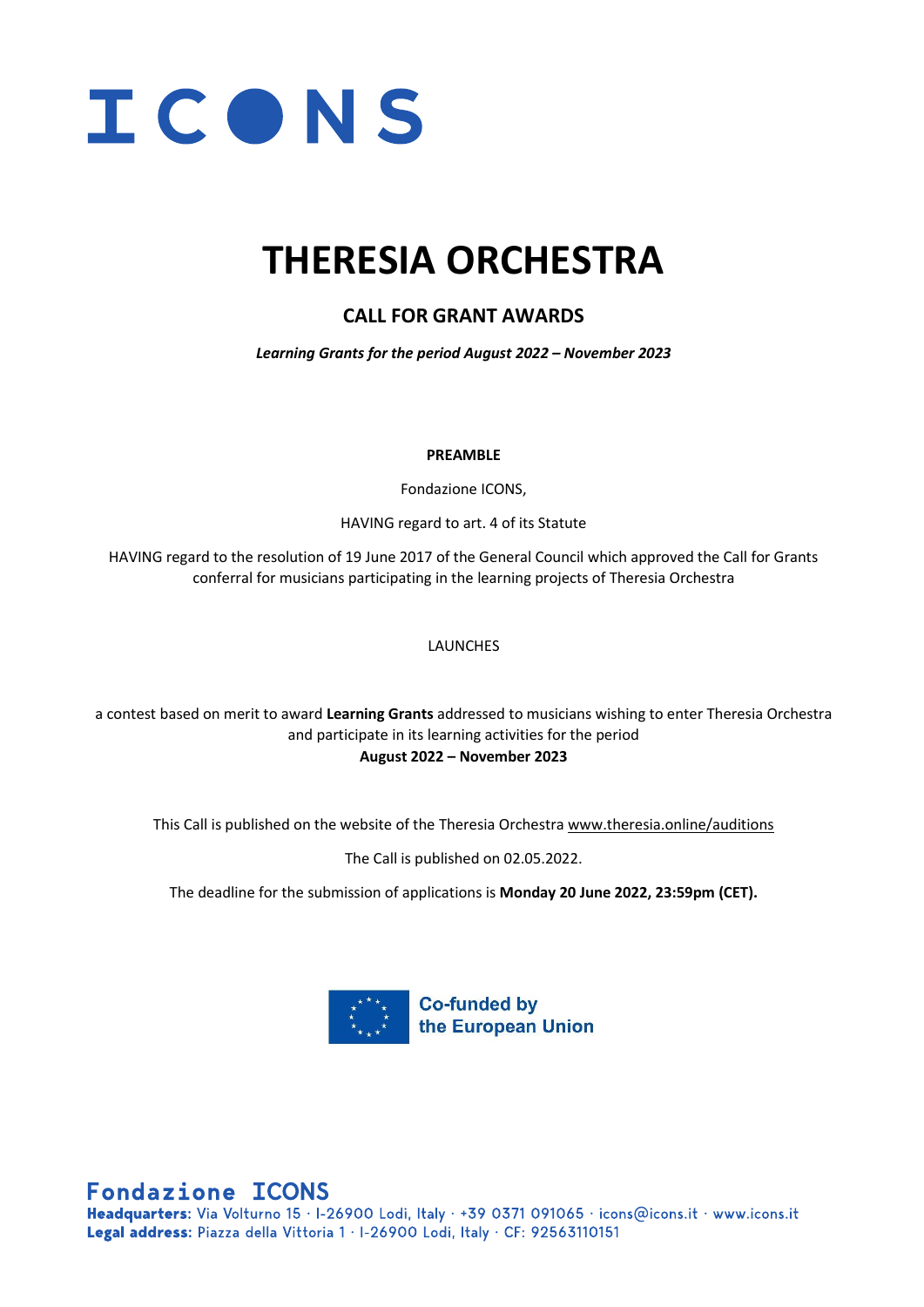

### **THERESIA ORCHESTRA**

### **CALL FOR GRANT AWARDS**

*Learning Grants for the period August 2022 – November 2023*

#### **PREAMBLE**

Fondazione ICONS,

HAVING regard to art. 4 of its Statute

HAVING regard to the resolution of 19 June 2017 of the General Council which approved the Call for Grants conferral for musicians participating in the learning projects of Theresia Orchestra

#### **LAUNCHES**

a contest based on merit to award **Learning Grants** addressed to musicians wishing to enter Theresia Orchestra and participate in its learning activities for the period **August 2022 – November 2023**

This Call is published on the website of the Theresia Orchestra [www.theresia.online/auditions](http://www.theresia.online/auditions)

The Call is published on 02.05.2022.

The deadline for the submission of applications is **Monday 20 June 2022, 23:59pm (CET).**



**Fondazione ICONS** 

Headquarters: Via Volturno 15 · I-26900 Lodi, Italy · +39 0371 091065 · icons@icons.it · www.icons.it Legal address: Piazza della Vittoria 1 · I-26900 Lodi, Italy · CF: 92563110151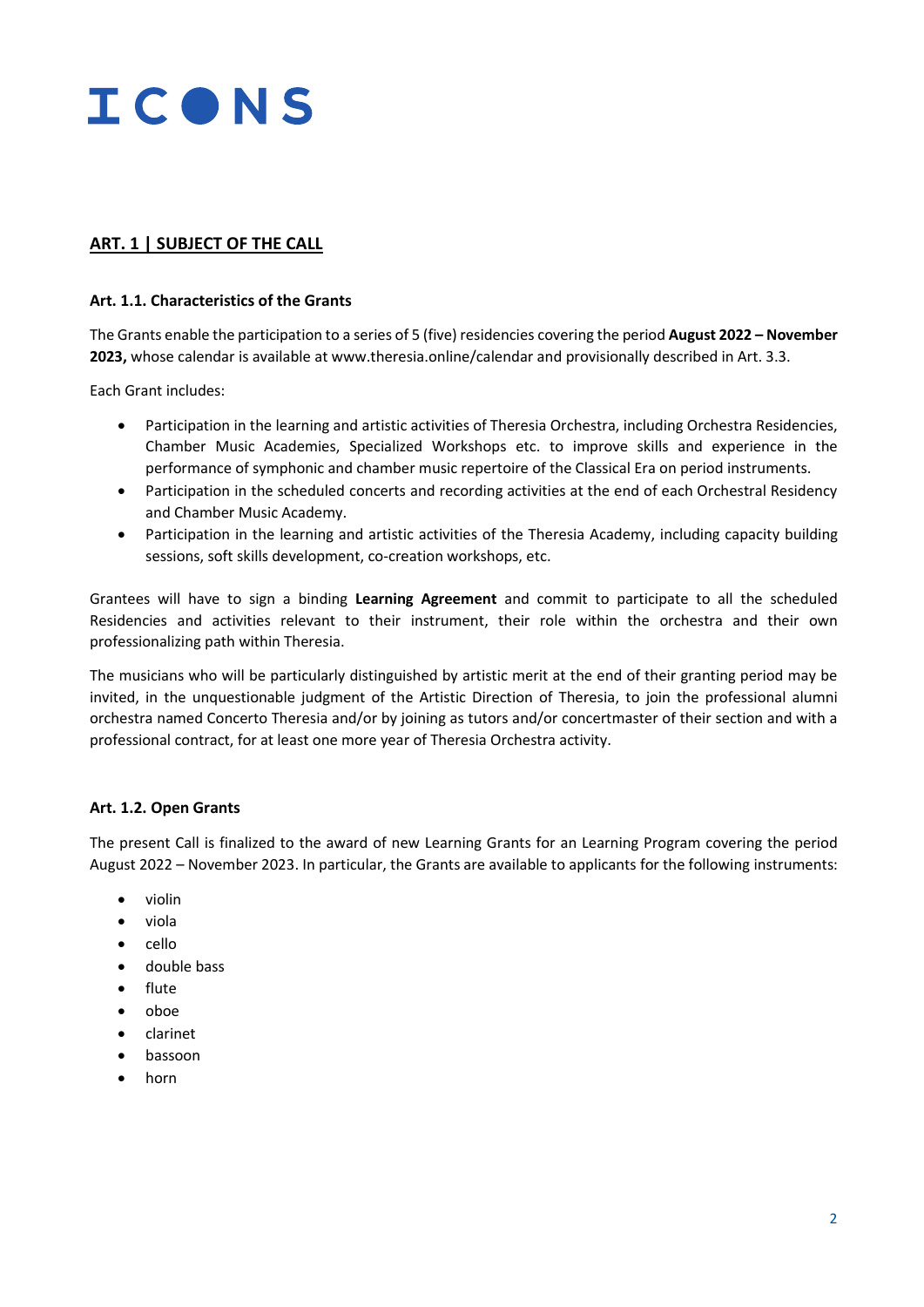

#### **ART. 1 | SUBJECT OF THE CALL**

#### **Art. 1.1. Characteristics of the Grants**

The Grants enable the participation to a series of 5 (five) residencies covering the period **August 2022 – November 2023,** whose calendar is available at www.theresia.online/calendar and provisionally described in Art. 3.3.

Each Grant includes:

- Participation in the learning and artistic activities of Theresia Orchestra, including Orchestra Residencies, Chamber Music Academies, Specialized Workshops etc. to improve skills and experience in the performance of symphonic and chamber music repertoire of the Classical Era on period instruments.
- Participation in the scheduled concerts and recording activities at the end of each Orchestral Residency and Chamber Music Academy.
- Participation in the learning and artistic activities of the Theresia Academy, including capacity building sessions, soft skills development, co-creation workshops, etc.

Grantees will have to sign a binding **Learning Agreement** and commit to participate to all the scheduled Residencies and activities relevant to their instrument, their role within the orchestra and their own professionalizing path within Theresia.

The musicians who will be particularly distinguished by artistic merit at the end of their granting period may be invited, in the unquestionable judgment of the Artistic Direction of Theresia, to join the professional alumni orchestra named Concerto Theresia and/or by joining as tutors and/or concertmaster of their section and with a professional contract, for at least one more year of Theresia Orchestra activity.

#### **Art. 1.2. Open Grants**

The present Call is finalized to the award of new Learning Grants for an Learning Program covering the period August 2022 – November 2023. In particular, the Grants are available to applicants for the following instruments:

- violin
- viola
- cello
- double bass
- flute
- oboe
- clarinet
- bassoon
- horn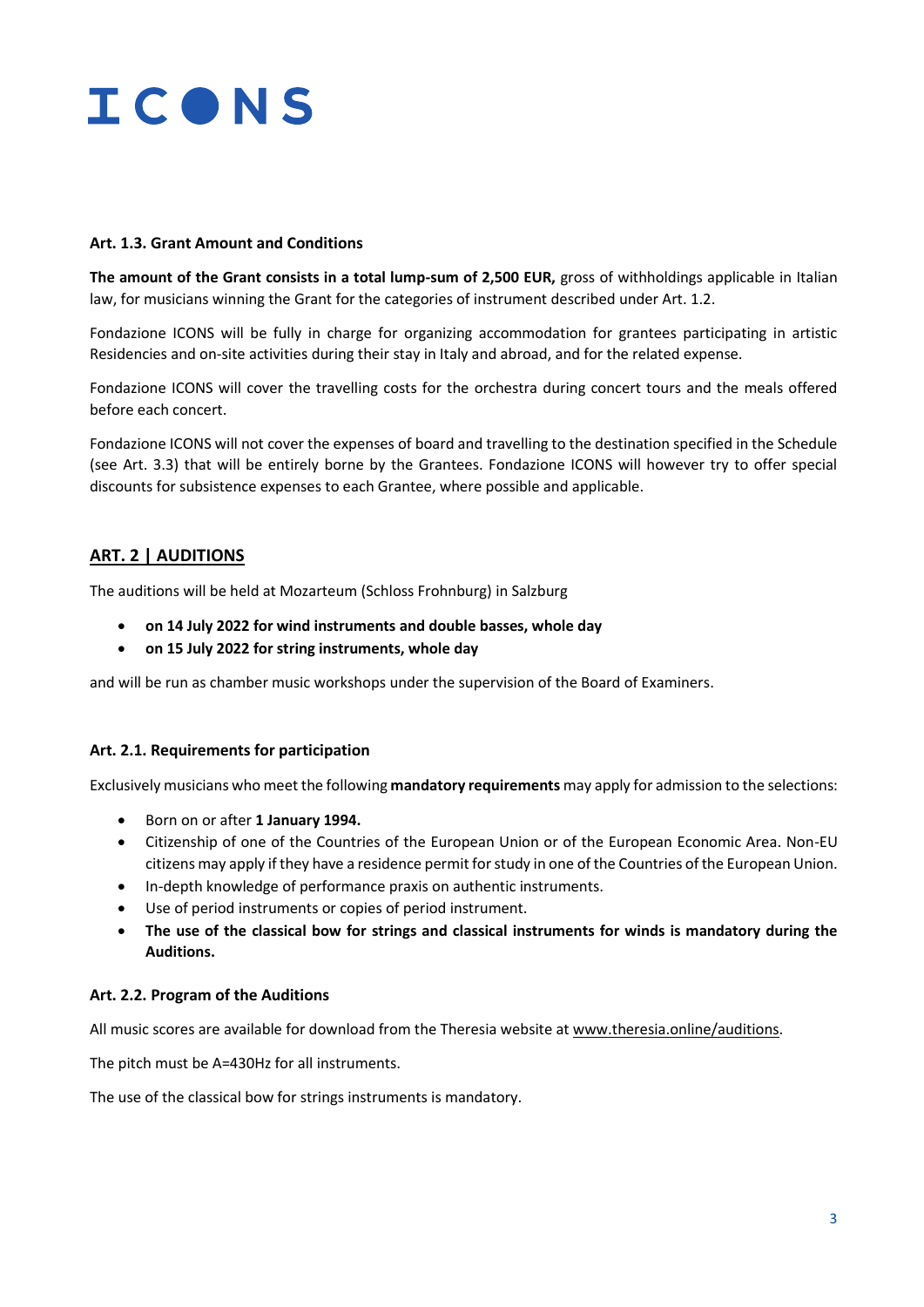

#### **Art. 1.3. Grant Amount and Conditions**

**The amount of the Grant consists in a total lump-sum of 2,500 EUR,** gross of withholdings applicable in Italian law, for musicians winning the Grant for the categories of instrument described under Art. 1.2.

Fondazione ICONS will be fully in charge for organizing accommodation for grantees participating in artistic Residencies and on-site activities during their stay in Italy and abroad, and for the related expense.

Fondazione ICONS will cover the travelling costs for the orchestra during concert tours and the meals offered before each concert.

Fondazione ICONS will not cover the expenses of board and travelling to the destination specified in the Schedule (see Art. 3.3) that will be entirely borne by the Grantees. Fondazione ICONS will however try to offer special discounts for subsistence expenses to each Grantee, where possible and applicable.

#### **ART. 2 | AUDITIONS**

The auditions will be held at Mozarteum (Schloss Frohnburg) in Salzburg

- **on 14 July 2022 for wind instruments and double basses, whole day**
- **on 15 July 2022 for string instruments, whole day**

and will be run as chamber music workshops under the supervision of the Board of Examiners.

#### **Art. 2.1. Requirements for participation**

Exclusively musicians who meet the following **mandatory requirements** may apply for admission to the selections:

- Born on or after **1 January 1994.**
- Citizenship of one of the Countries of the European Union or of the European Economic Area. Non-EU citizens may apply if they have a residence permit for study in one of the Countries of the European Union.
- In-depth knowledge of performance praxis on authentic instruments.
- Use of period instruments or copies of period instrument.
- **The use of the classical bow for strings and classical instruments for winds is mandatory during the Auditions.**

#### **Art. 2.2. Program of the Auditions**

All music scores are available for download from the Theresia website at [www.theresia.online/auditions.](http://www.theresia.online/auditions)

The pitch must be A=430Hz for all instruments.

The use of the classical bow for strings instruments is mandatory.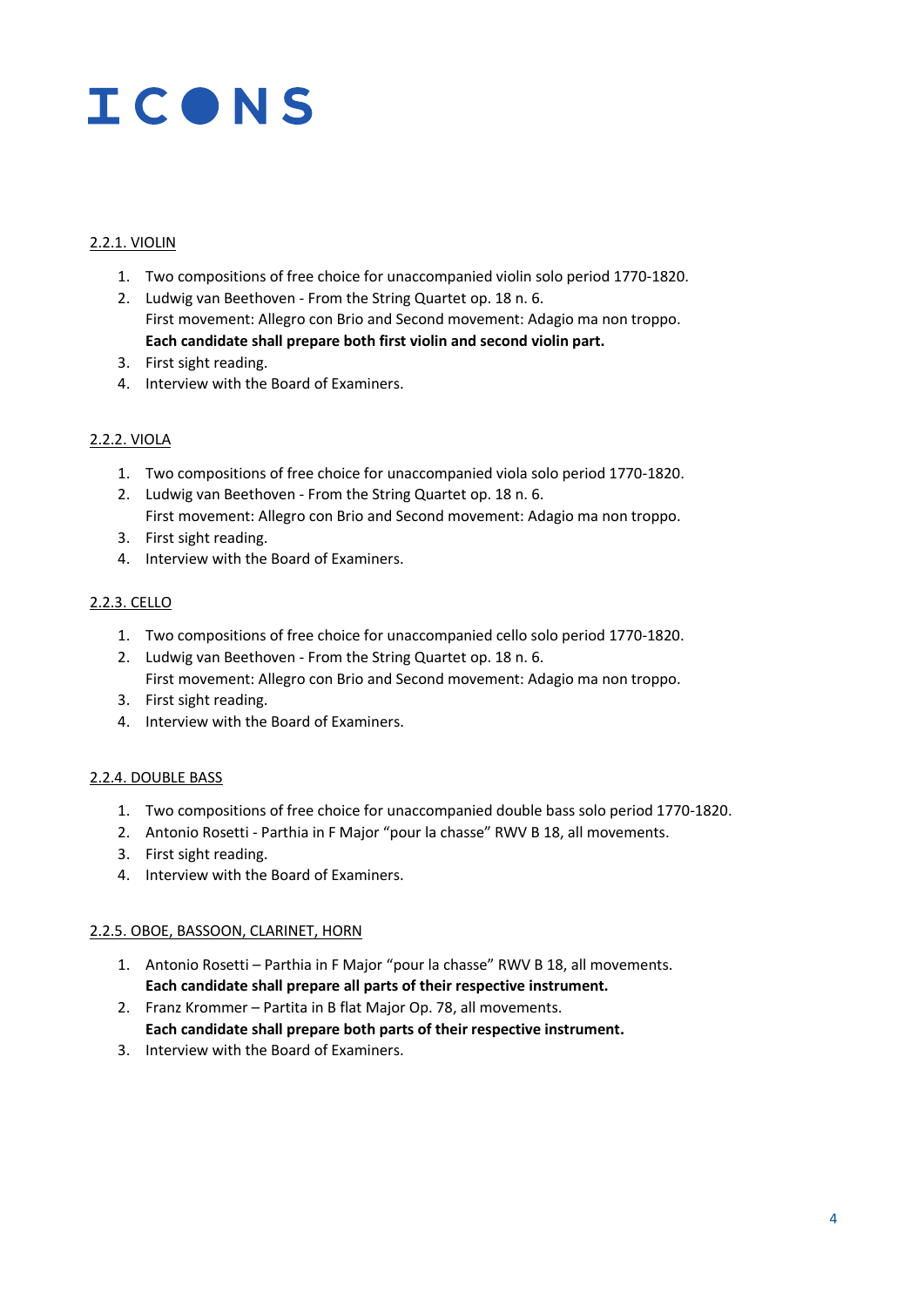# **ICONS**

#### 2.2.1. VIOLIN

- 1. Two compositions of free choice for unaccompanied violin solo period 1770-1820.
- 2. Ludwig van Beethoven From the String Quartet op. 18 n. 6. First movement: Allegro con Brio and Second movement: Adagio ma non troppo. **Each candidate shall prepare both first violin and second violin part.**
- 3. First sight reading.
- 4. Interview with the Board of Examiners.

#### 2.2.2. VIOLA

- 1. Two compositions of free choice for unaccompanied viola solo period 1770-1820.
- 2. Ludwig van Beethoven From the String Quartet op. 18 n. 6. First movement: Allegro con Brio and Second movement: Adagio ma non troppo.
- 3. First sight reading.
- 4. Interview with the Board of Examiners.

#### 2.2.3. CELLO

- 1. Two compositions of free choice for unaccompanied cello solo period 1770-1820.
- 2. Ludwig van Beethoven From the String Quartet op. 18 n. 6. First movement: Allegro con Brio and Second movement: Adagio ma non troppo.
- 3. First sight reading.
- 4. Interview with the Board of Examiners.

#### 2.2.4. DOUBLE BASS

- 1. Two compositions of free choice for unaccompanied double bass solo period 1770-1820.
- 2. Antonio Rosetti Parthia in F Major "pour la chasse" RWV B 18, all movements.
- 3. First sight reading.
- 4. Interview with the Board of Examiners.

#### 2.2.5. OBOE, BASSOON, CLARINET, HORN

- 1. Antonio Rosetti Parthia in F Major "pour la chasse" RWV B 18, all movements. **Each candidate shall prepare all parts of their respective instrument.**
- 2. Franz Krommer Partita in B flat Major Op. 78, all movements. **Each candidate shall prepare both parts of their respective instrument.**
- 3. Interview with the Board of Examiners.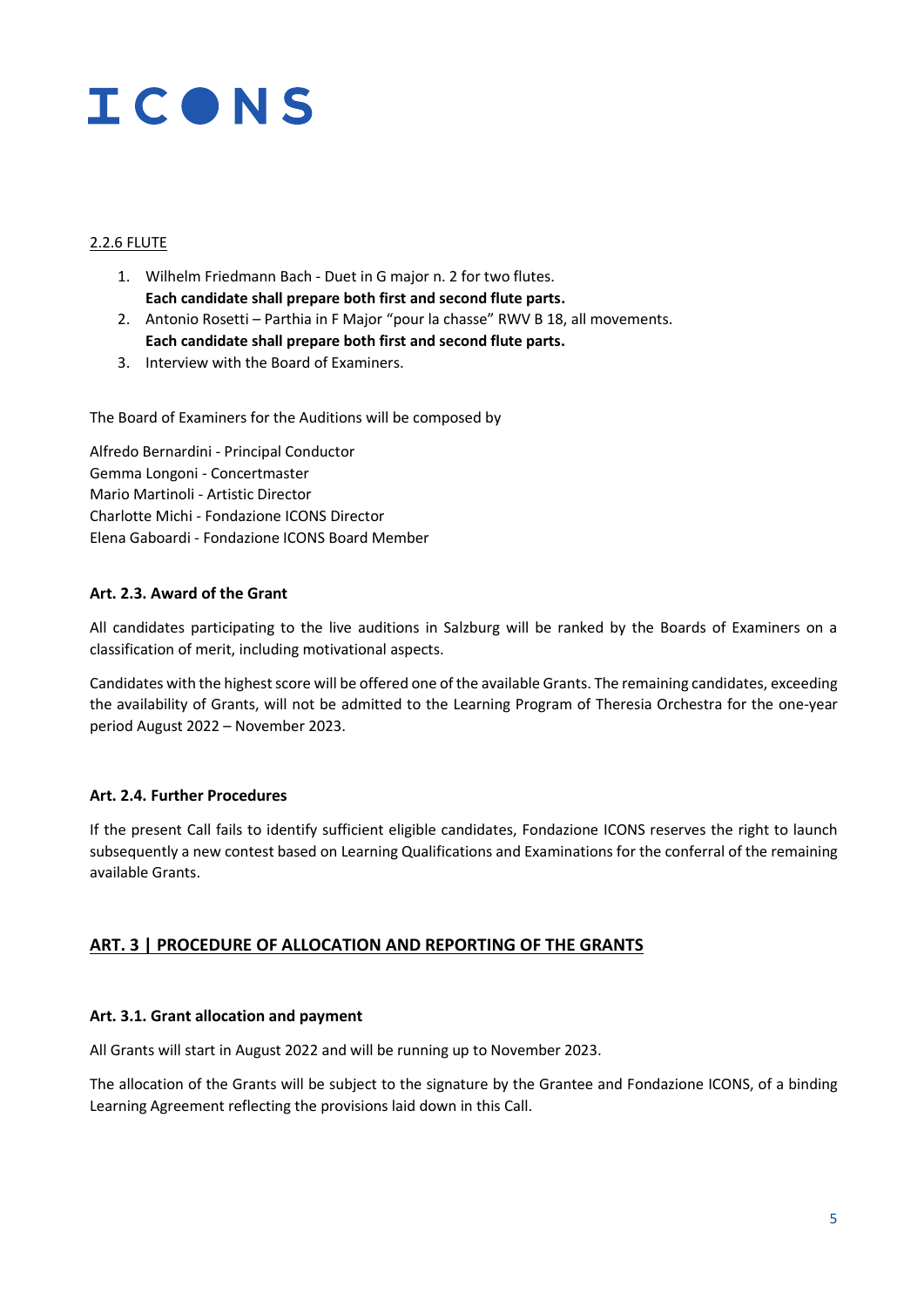# ICONS

#### 2.2.6 FLUTE

- 1. Wilhelm Friedmann Bach Duet in G major n. 2 for two flutes. **Each candidate shall prepare both first and second flute parts.**
- 2. Antonio Rosetti Parthia in F Major "pour la chasse" RWV B 18, all movements. **Each candidate shall prepare both first and second flute parts.**
- 3. Interview with the Board of Examiners.

The Board of Examiners for the Auditions will be composed by

Alfredo Bernardini - Principal Conductor Gemma Longoni - Concertmaster Mario Martinoli - Artistic Director Charlotte Michi - Fondazione ICONS Director Elena Gaboardi - Fondazione ICONS Board Member

#### **Art. 2.3. Award of the Grant**

All candidates participating to the live auditions in Salzburg will be ranked by the Boards of Examiners on a classification of merit, including motivational aspects.

Candidates with the highest score will be offered one of the available Grants. The remaining candidates, exceeding the availability of Grants, will not be admitted to the Learning Program of Theresia Orchestra for the one-year period August 2022 – November 2023.

#### **Art. 2.4. Further Procedures**

If the present Call fails to identify sufficient eligible candidates, Fondazione ICONS reserves the right to launch subsequently a new contest based on Learning Qualifications and Examinations for the conferral of the remaining available Grants.

#### **ART. 3 | PROCEDURE OF ALLOCATION AND REPORTING OF THE GRANTS**

#### **Art. 3.1. Grant allocation and payment**

All Grants will start in August 2022 and will be running up to November 2023.

The allocation of the Grants will be subject to the signature by the Grantee and Fondazione ICONS, of a binding Learning Agreement reflecting the provisions laid down in this Call.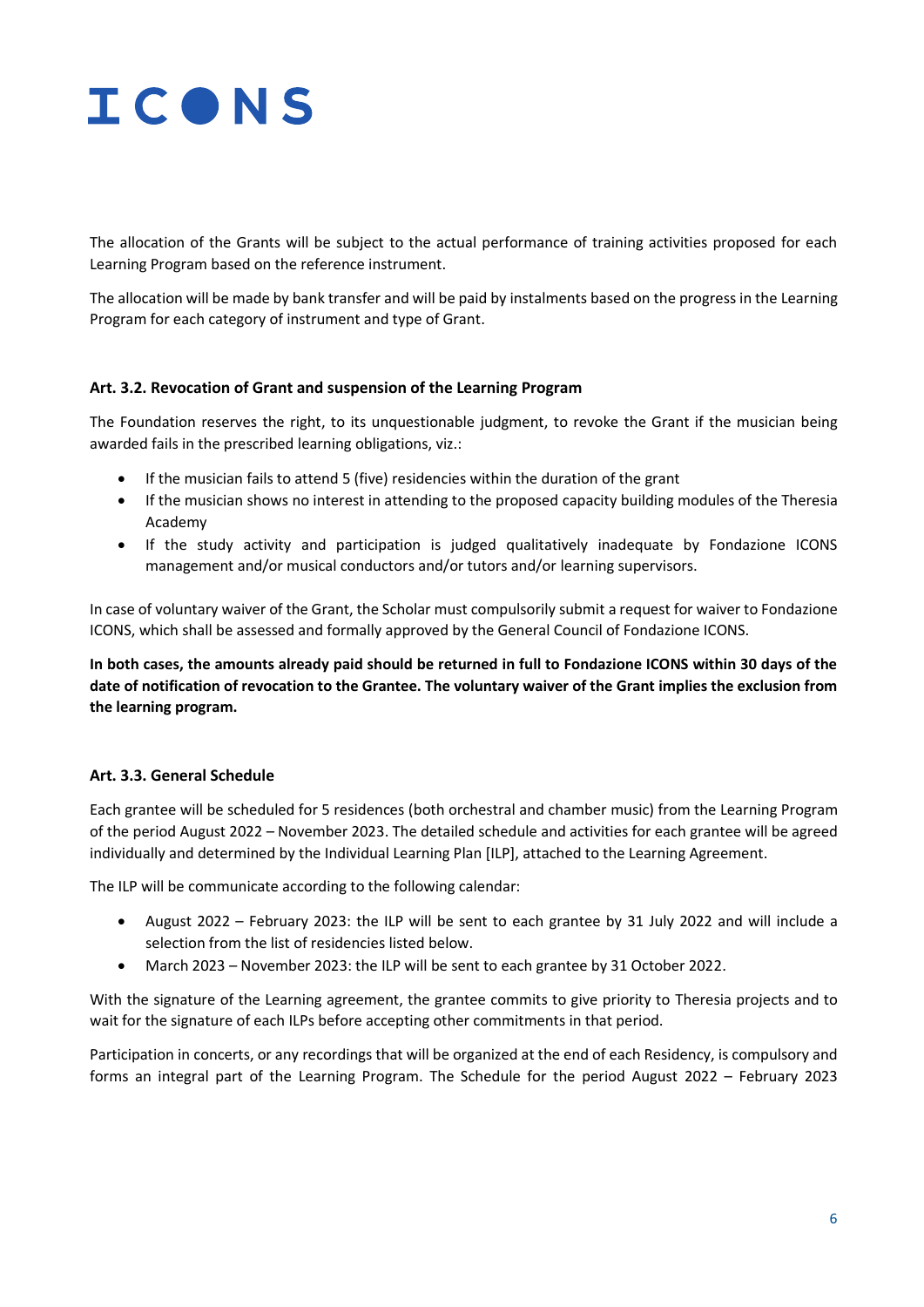

The allocation of the Grants will be subject to the actual performance of training activities proposed for each Learning Program based on the reference instrument.

The allocation will be made by bank transfer and will be paid by instalments based on the progress in the Learning Program for each category of instrument and type of Grant.

#### **Art. 3.2. Revocation of Grant and suspension of the Learning Program**

The Foundation reserves the right, to its unquestionable judgment, to revoke the Grant if the musician being awarded fails in the prescribed learning obligations, viz.:

- If the musician fails to attend 5 (five) residencies within the duration of the grant
- If the musician shows no interest in attending to the proposed capacity building modules of the Theresia Academy
- If the study activity and participation is judged qualitatively inadequate by Fondazione ICONS management and/or musical conductors and/or tutors and/or learning supervisors.

In case of voluntary waiver of the Grant, the Scholar must compulsorily submit a request for waiver to Fondazione ICONS, which shall be assessed and formally approved by the General Council of Fondazione ICONS.

**In both cases, the amounts already paid should be returned in full to Fondazione ICONS within 30 days of the date of notification of revocation to the Grantee. The voluntary waiver of the Grant implies the exclusion from the learning program.** 

#### **Art. 3.3. General Schedule**

Each grantee will be scheduled for 5 residences (both orchestral and chamber music) from the Learning Program of the period August 2022 – November 2023. The detailed schedule and activities for each grantee will be agreed individually and determined by the Individual Learning Plan [ILP], attached to the Learning Agreement.

The ILP will be communicate according to the following calendar:

- August 2022 February 2023: the ILP will be sent to each grantee by 31 July 2022 and will include a selection from the list of residencies listed below.
- March 2023 November 2023: the ILP will be sent to each grantee by 31 October 2022.

With the signature of the Learning agreement, the grantee commits to give priority to Theresia projects and to wait for the signature of each ILPs before accepting other commitments in that period.

Participation in concerts, or any recordings that will be organized at the end of each Residency, is compulsory and forms an integral part of the Learning Program. The Schedule for the period August 2022 – February 2023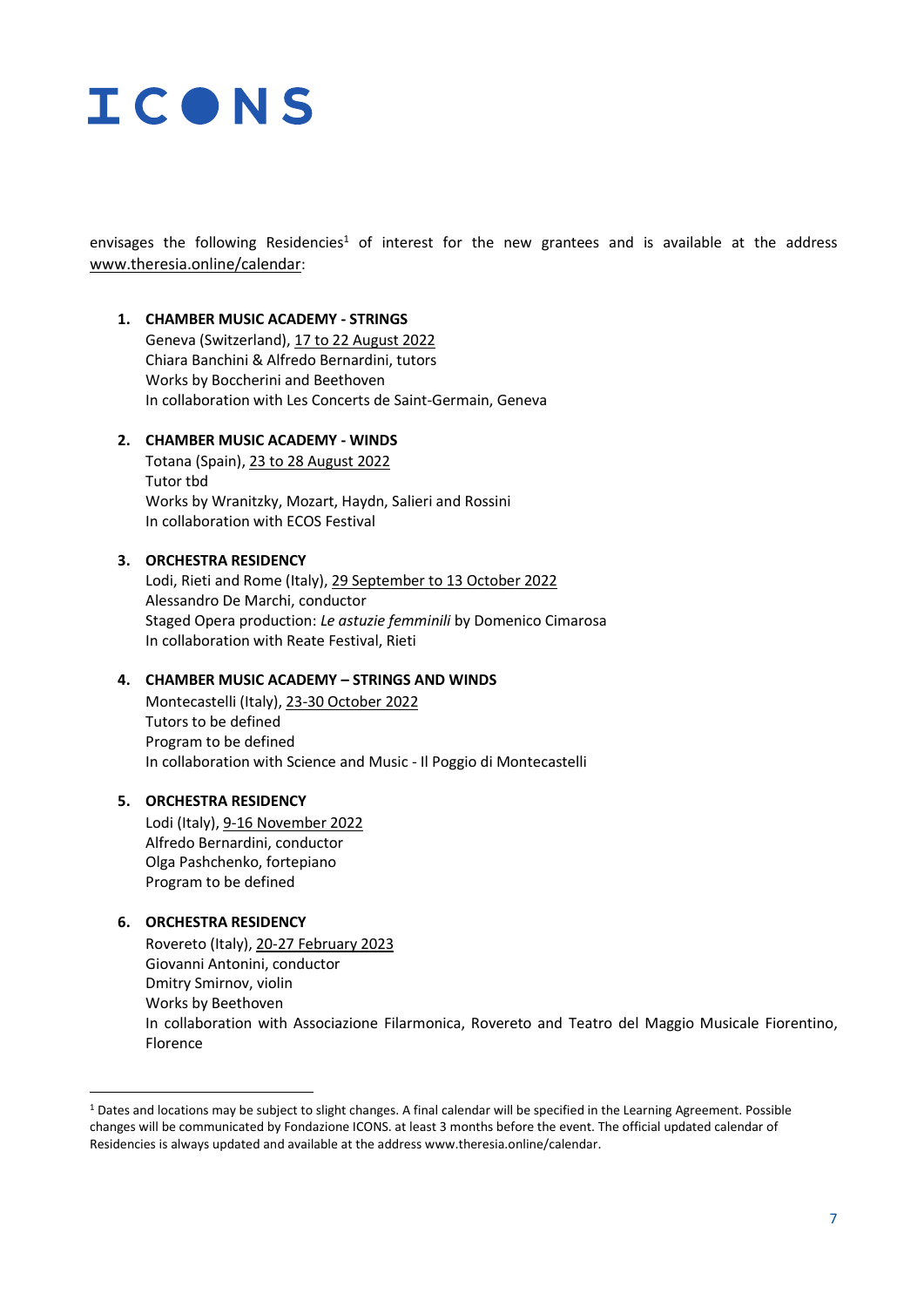

envisages the following Residencies<sup>1</sup> of interest for the new grantees and is available at the address [www.theresia.online/calendar](http://www.theresia.online/calendar):

#### **1. CHAMBER MUSIC ACADEMY - STRINGS**

Geneva (Switzerland), 17 to 22 August 2022 Chiara Banchini & Alfredo Bernardini, tutors Works by Boccherini and Beethoven In collaboration with Les Concerts de Saint-Germain, Geneva

#### **2. CHAMBER MUSIC ACADEMY - WINDS**

Totana (Spain), 23 to 28 August 2022 Tutor tbd Works by Wranitzky, Mozart, Haydn, Salieri and Rossini In collaboration with ECOS Festival

#### **3. ORCHESTRA RESIDENCY**

Lodi, Rieti and Rome (Italy), 29 September to 13 October 2022 Alessandro De Marchi, conductor Staged Opera production: *Le astuzie femminili* by Domenico Cimarosa In collaboration with Reate Festival, Rieti

#### **4. CHAMBER MUSIC ACADEMY – STRINGS AND WINDS**

Montecastelli (Italy), 23-30 October 2022 Tutors to be defined Program to be defined In collaboration with Science and Music - Il Poggio di Montecastelli

#### **5. ORCHESTRA RESIDENCY**

Lodi (Italy), 9-16 November 2022 Alfredo Bernardini, conductor Olga Pashchenko, fortepiano Program to be defined

#### **6. ORCHESTRA RESIDENCY**

Rovereto (Italy), 20-27 February 2023 Giovanni Antonini, conductor Dmitry Smirnov, violin Works by Beethoven In collaboration with Associazione Filarmonica, Rovereto and Teatro del Maggio Musicale Fiorentino, Florence

<sup>1</sup> Dates and locations may be subject to slight changes. A final calendar will be specified in the Learning Agreement. Possible changes will be communicated by Fondazione ICONS. at least 3 months before the event. The official updated calendar of Residencies is always updated and available at the address www.theresia.online/calendar.